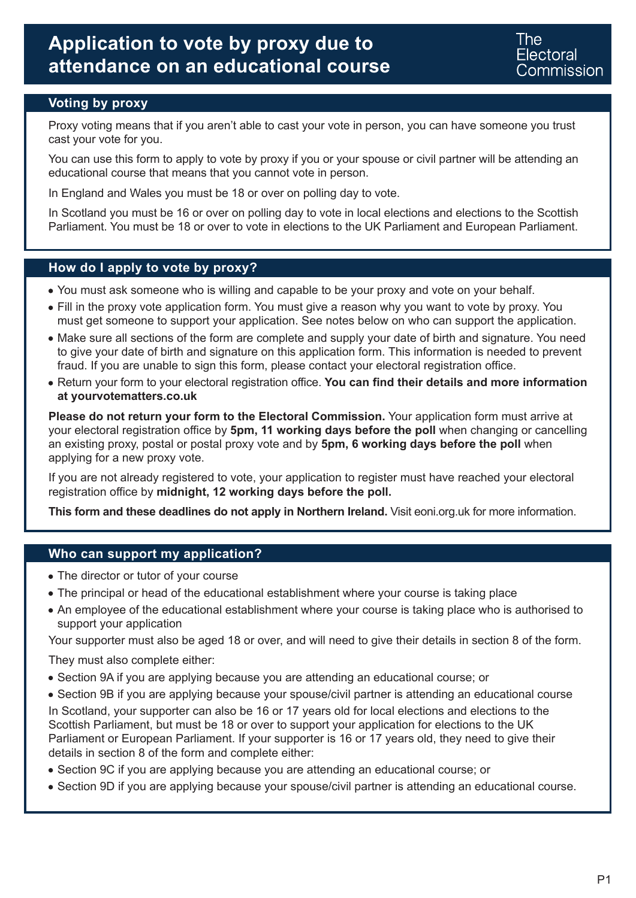The Flectoral **Commission** 

### **Voting by proxy**

Proxy voting means that if you aren't able to cast your vote in person, you can have someone you trust cast your vote for you.

You can use this form to apply to vote by proxy if you or your spouse or civil partner will be attending an educational course that means that you cannot vote in person.

In England and Wales you must be 18 or over on polling day to vote.

In Scotland you must be 16 or over on polling day to vote in local elections and elections to the Scottish Parliament. You must be 18 or over to vote in elections to the UK Parliament and European Parliament.

#### **How do I apply to vote by proxy?**

- You must ask someone who is willing and capable to be your proxy and vote on your behalf.
- Fill in the proxy vote application form. You must give a reason why you want to vote by proxy. You must get someone to support your application. See notes below on who can support the application.
- Make sure all sections of the form are complete and supply your date of birth and signature. You need to give your date of birth and signature on this application form. This information is needed to prevent fraud. If you are unable to sign this form, please contact your electoral registration office.
- Return your form to your electoral registration office. **You can find their details and more information at yourvotematters.co.uk**

**Please do not return your form to the Electoral Commission.** Your application form must arrive at your electoral registration office by **5pm, 11 working days before the poll** when changing or cancelling an existing proxy, postal or postal proxy vote and by **5pm, 6 working days before the poll** when applying for a new proxy vote.

If you are not already registered to vote, your application to register must have reached your electoral registration office by **midnight, 12 working days before the poll.**

**This form and these deadlines do not apply in Northern Ireland.** Visit eoni.org.uk for more information.

#### **Who can support my application?**

- The director or tutor of your course
- The principal or head of the educational establishment where your course is taking place
- An employee of the educational establishment where your course is taking place who is authorised to support your application

Your supporter must also be aged 18 or over, and will need to give their details in section 8 of the form.

They must also complete either:

- Section 9A if you are applying because you are attending an educational course; or
- Section 9B if you are applying because your spouse/civil partner is attending an educational course In Scotland, your supporter can also be 16 or 17 years old for local elections and elections to the Scottish Parliament, but must be 18 or over to support your application for elections to the UK Parliament or European Parliament. If your supporter is 16 or 17 years old, they need to give their details in section 8 of the form and complete either:
- Section 9C if you are applying because you are attending an educational course; or
- Section 9D if you are applying because your spouse/civil partner is attending an educational course.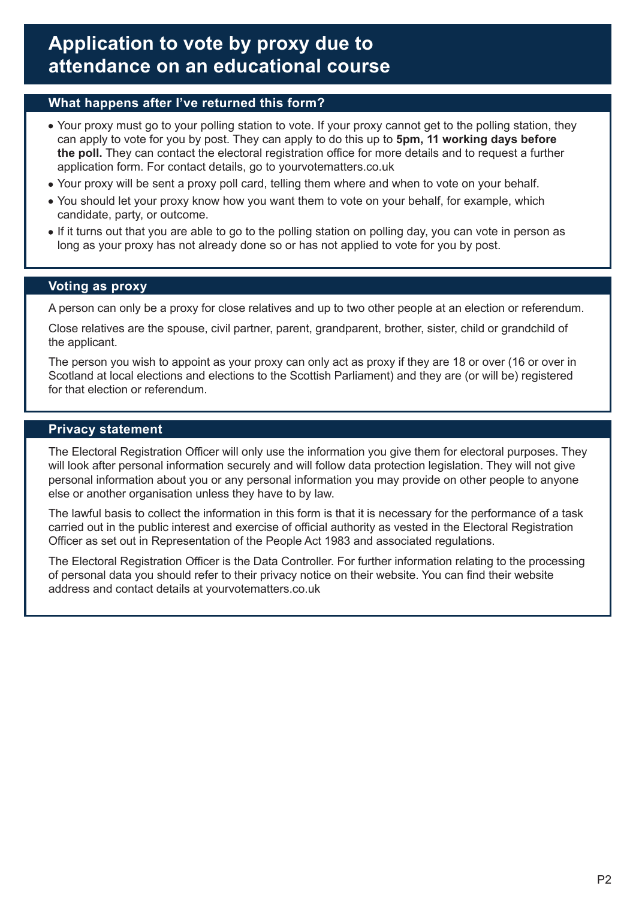### **What happens after I've returned this form?**

- Your proxy must go to your polling station to vote. If your proxy cannot get to the polling station, they can apply to vote for you by post. They can apply to do this up to **5pm, 11 working days before the poll.** They can contact the electoral registration office for more details and to request a further application form. For contact details, go to yourvotematters.co.uk
- Your proxy will be sent a proxy poll card, telling them where and when to vote on your behalf.
- You should let your proxy know how you want them to vote on your behalf, for example, which candidate, party, or outcome.
- If it turns out that you are able to go to the polling station on polling day, you can vote in person as long as your proxy has not already done so or has not applied to vote for you by post.

### **Voting as proxy**

A person can only be a proxy for close relatives and up to two other people at an election or referendum.

Close relatives are the spouse, civil partner, parent, grandparent, brother, sister, child or grandchild of the applicant.

The person you wish to appoint as your proxy can only act as proxy if they are 18 or over (16 or over in Scotland at local elections and elections to the Scottish Parliament) and they are (or will be) registered for that election or referendum.

### **Privacy statement**

The Electoral Registration Officer will only use the information you give them for electoral purposes. They will look after personal information securely and will follow data protection legislation. They will not give personal information about you or any personal information you may provide on other people to anyone else or another organisation unless they have to by law.

The lawful basis to collect the information in this form is that it is necessary for the performance of a task carried out in the public interest and exercise of official authority as vested in the Electoral Registration Officer as set out in Representation of the People Act 1983 and associated regulations.

The Electoral Registration Officer is the Data Controller. For further information relating to the processing of personal data you should refer to their privacy notice on their website. You can find their website address and contact details at yourvotematters.co.uk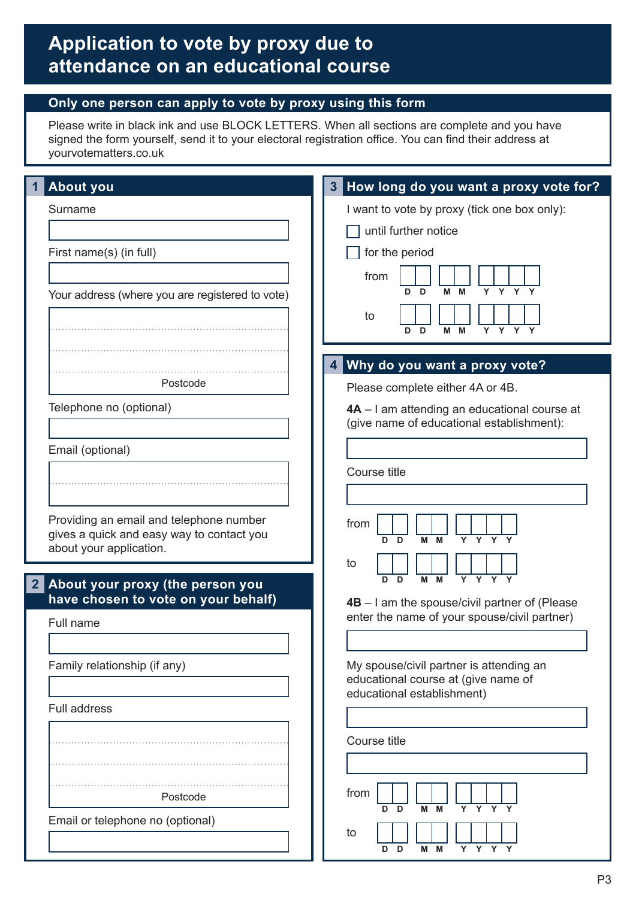## **Only one person can apply to vote by proxy using this form**

Please write in black ink and use BLOCK LETTERS. When all sections are complete and you have signed the form yourself, send it to your electoral registration office. You can find their address at yourvotematters.co.uk

| <b>About you</b>                                                                                                | 3 How long do you want a proxy vote for?                                                                     |
|-----------------------------------------------------------------------------------------------------------------|--------------------------------------------------------------------------------------------------------------|
| Surname                                                                                                         | I want to vote by proxy (tick one box only):                                                                 |
|                                                                                                                 | until further notice                                                                                         |
| First name(s) (in full)                                                                                         | for the period                                                                                               |
|                                                                                                                 | from                                                                                                         |
| Your address (where you are registered to vote)                                                                 | Y<br>Y<br>D<br>M<br>M<br>Y<br>D.                                                                             |
|                                                                                                                 | to<br>$Y$ $Y$ $Y$<br>M<br>D<br>M<br>Y<br>D                                                                   |
|                                                                                                                 | 4 Why do you want a proxy vote?                                                                              |
| Postcode                                                                                                        | Please complete either 4A or 4B.                                                                             |
| Telephone no (optional)                                                                                         | 4A - I am attending an educational course at                                                                 |
|                                                                                                                 | (give name of educational establishment):                                                                    |
| Email (optional)                                                                                                |                                                                                                              |
|                                                                                                                 | Course title                                                                                                 |
|                                                                                                                 |                                                                                                              |
| Providing an email and telephone number<br>gives a quick and easy way to contact you<br>about your application. | from<br>Y Y Y Y<br>м<br>D<br>M<br>D<br>to                                                                    |
| About your proxy (the person you<br>2 <sup>1</sup><br>have chosen to vote on your behalf)                       | $\mathbf{Y}$<br>D<br>M<br>M<br>Y<br>$\mathbf{Y}$<br>D<br>4B - I am the spouse/civil partner of (Please       |
| Full name                                                                                                       | enter the name of your spouse/civil partner)                                                                 |
|                                                                                                                 |                                                                                                              |
| Family relationship (if any)                                                                                    | My spouse/civil partner is attending an<br>educational course at (give name of<br>educational establishment) |
| <b>Full address</b>                                                                                             |                                                                                                              |
|                                                                                                                 |                                                                                                              |
|                                                                                                                 | Course title                                                                                                 |
|                                                                                                                 |                                                                                                              |
| Postcode                                                                                                        | from<br>Y Y Y Y<br>м<br>D<br>M<br>D.                                                                         |
| Email or telephone no (optional)                                                                                | to                                                                                                           |
|                                                                                                                 | M M<br>D<br>Y<br>D                                                                                           |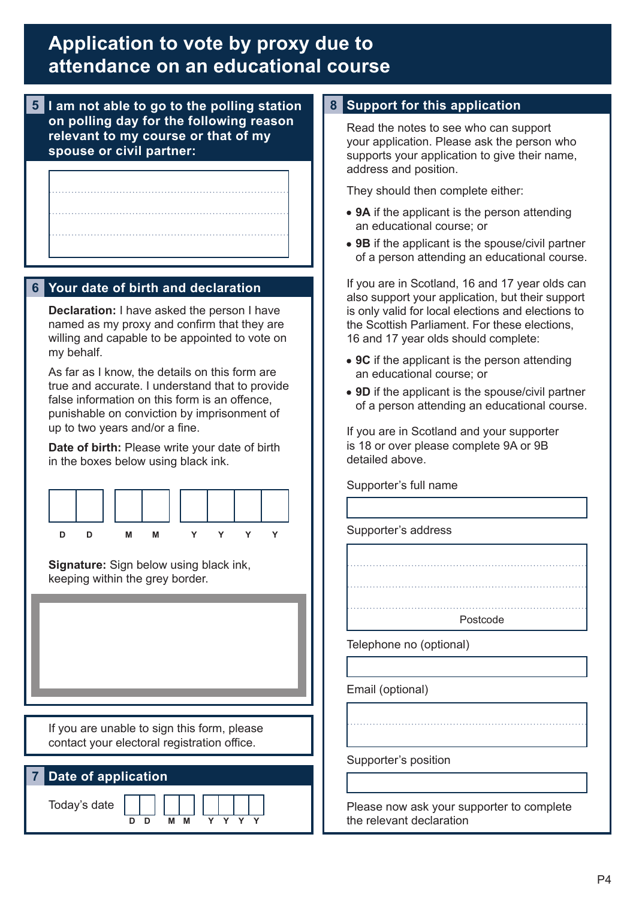**5 I am not able to go to the polling station on polling day for the following reason relevant to my course or that of my spouse or civil partner:**

## **6 Your date of birth and declaration**

**Declaration:** I have asked the person I have named as my proxy and confirm that they are willing and capable to be appointed to vote on my behalf.

As far as I know, the details on this form are true and accurate. I understand that to provide false information on this form is an offence, punishable on conviction by imprisonment of up to two years and/or a fine.

**Date of birth:** Please write your date of birth in the boxes below using black ink.



**Signature:** Sign below using black ink, keeping within the grey border.

If you are unable to sign this form, please contact your electoral registration office.

| 7 Date of application |        |
|-----------------------|--------|
| Today's date          | M<br>M |

### **8 Support for this application**

Read the notes to see who can support your application. Please ask the person who supports your application to give their name, address and position.

They should then complete either:

- **9A** if the applicant is the person attending an educational course; or
- **9B** if the applicant is the spouse/civil partner of a person attending an educational course.

If you are in Scotland, 16 and 17 year olds can also support your application, but their support is only valid for local elections and elections to the Scottish Parliament. For these elections, 16 and 17 year olds should complete:

- **9C** if the applicant is the person attending an educational course; or
- **9D** if the applicant is the spouse/civil partner of a person attending an educational course.

If you are in Scotland and your supporter is 18 or over please complete 9A or 9B detailed above.

Supporter's full name

Supporter's address



Telephone no (optional)

Email (optional)

Supporter's position

Please now ask your supporter to complete the relevant declaration